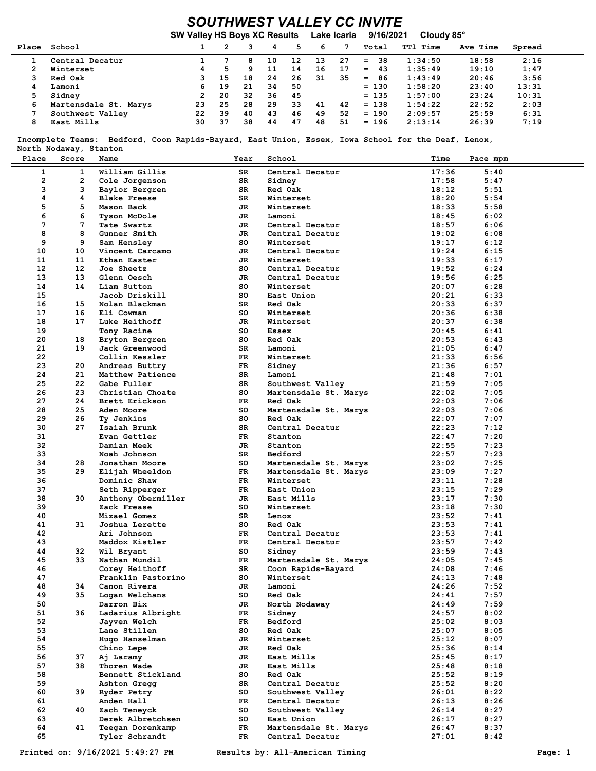## SOUTHWEST VALLEY CC INVITE

|       |                       | <b>SW Valley HS Boys XC Results</b> |    |    |    | Lake Icaria |    | 9/16/2021<br>Cloudy 85° |           |                 |          |        |
|-------|-----------------------|-------------------------------------|----|----|----|-------------|----|-------------------------|-----------|-----------------|----------|--------|
| Place | School                |                                     |    |    |    | 5           | 6  |                         | Total     | <b>TT1 Time</b> | Ave Time | Spread |
|       | Central Decatur       |                                     |    | 8  | 10 | 12          | 13 | 27                      | 38<br>$=$ | 1:34:50         | 18:58    | 2:16   |
|       | Winterset             |                                     | 5  | ٩  | 11 | 14          | 16 | 17                      | 43<br>$=$ | 1:35:49         | 19:10    | 1:47   |
|       | Red Oak               |                                     | 15 | 18 | 24 | 26          | 31 | 35                      | 86<br>$=$ | 1:43:49         | 20:46    | 3:56   |
| 4     | Lamoni                | 6.                                  | 19 | 21 | 34 | 50          |    |                         | $= 130$   | 1:58:20         | 23:40    | 13:31  |
|       | Sidney                |                                     | 20 | 32 | 36 | 45          |    |                         | $= 135$   | 1:57:00         | 23:24    | 10:31  |
| 6     | Martensdale St. Marys | 23                                  | 25 | 28 | 29 | 33          | 41 | 42                      | $= 138$   | 1:54:22         | 22:52    | 2:03   |
|       | Southwest Valley      | 22                                  | 39 | 40 | 43 | 46          | 49 | 52                      | $= 190$   | 2:09:57         | 25:59    | 6:31   |
| 8     | East Mills            | 30                                  | 37 | 38 | 44 | 47          | 48 | 51                      | $= 196$   | 2:13:14         | 26:39    | 7:19   |

 Incomplete Teams: Bedford, Coon Rapids-Bayard, East Union, Essex, Iowa School for the Deaf, Lenox, North Nodaway, Stanton

| Place        | Score           | Name                | Year | School                | Time  | Pace mpm |
|--------------|-----------------|---------------------|------|-----------------------|-------|----------|
| $\mathbf{1}$ | $\mathbf{1}$    | William Gillis      | SR   | Central Decatur       | 17:36 | 5:40     |
| 2            | 2               | Cole Jorgenson      | SR   | Sidney                | 17:58 | 5:47     |
| з            | 3               | Baylor Bergren      | SR   | Red Oak               | 18:12 | 5:51     |
| 4            | 4               | <b>Blake Freese</b> | SR   | Winterset             | 18:20 | 5:54     |
| 5            | 5               | Mason Back          | JR   | Winterset             | 18:33 | 5:58     |
| 6            |                 |                     |      |                       |       |          |
|              | 6<br>7          | <b>Tyson McDole</b> | JR   | Lamoni                | 18:45 | 6:02     |
| 7            |                 | Tate Swartz         | JR   | Central Decatur       | 18:57 | 6:06     |
| 8            | 8               | Gunner Smith        | JR   | Central Decatur       | 19:02 | 6:08     |
| 9            | 9               | Sam Hensley         | SO.  | Winterset             | 19:17 | 6:12     |
| 10           | 10              | Vincent Carcamo     | JR   | Central Decatur       | 19:24 | 6:15     |
| 11           | 11              | Ethan Easter        | JR   | Winterset             | 19:33 | 6:17     |
| 12           | 12 <sup>1</sup> | Joe Sheetz          | so   | Central Decatur       | 19:52 | 6:24     |
| 13           | 13              | Glenn Oesch         | JR   | Central Decatur       | 19:56 | 6:25     |
| 14           | 14              | Liam Sutton         | SO.  | Winterset             | 20:07 | 6:28     |
| 15           |                 | Jacob Driskill      | SO.  | East Union            | 20:21 | 6:33     |
| 16           | 15              | Nolan Blackman      | SR.  | Red Oak               | 20:33 | 6:37     |
| 17           | 16              | Eli Cowman          | SO.  | Winterset             | 20:36 | 6:38     |
| 18           | 17              | Luke Heithoff       | JR   | Winterset             | 20:37 | 6:38     |
| 19           |                 | Tony Racine         | SO.  | <b>Essex</b>          | 20:45 | 6:41     |
| 20           | 18              | Bryton Bergren      | SO.  | Red Oak               | 20:53 | 6:43     |
| 21           | 19              | Jack Greenwood      | SR.  | Lamoni                | 21:05 | 6:47     |
| 22           |                 | Collin Kessler      | FR.  | Winterset             | 21:33 | 6:56     |
| 23           | 20              | Andreas Buttry      | FR   | Sidney                | 21:36 | 6:57     |
| 24           | 21              | Matthew Patience    | SR   | Lamoni                | 21:48 | 7:01     |
| 25           | 22              | Gabe Fuller         | SR   | Southwest Valley      | 21:59 | 7:05     |
| 26           | 23              | Christian Choate    | so   | Martensdale St. Marys | 22:02 | 7:05     |
| 27           | 24              | Brett Erickson      | FR   | Red Oak               | 22:03 | 7:06     |
| 28           | 25              | Aden Moore          | so   | Martensdale St. Marys | 22:03 | 7:06     |
| 29           | 26              | Ty Jenkins          | so   | Red Oak               | 22:07 | 7:07     |
| 30           | 27              | Isaiah Brunk        | SR   | Central Decatur       | 22:23 | 7:12     |
| 31           |                 | Evan Gettler        | FR.  | Stanton               | 22:47 | 7:20     |
| 32           |                 | Damian Meek         | JR   | Stanton               | 22:55 | 7:23     |
| 33           |                 | Noah Johnson        | SR   | Bedford               | 22:57 | 7:23     |
| 34           | 28              | Jonathan Moore      | so   | Martensdale St. Marys | 23:02 | 7:25     |
| 35           | 29              | Elijah Wheeldon     | FR   | Martensdale St. Marys | 23:09 | 7:27     |
| 36           |                 | Dominic Shaw        | FR   | Winterset             | 23:11 | 7:28     |
| 37           |                 | Seth Ripperger      | FR.  | East Union            | 23:15 | 7:29     |
| 38           | 30              | Anthony Obermiller  | JR   | East Mills            | 23:17 | 7:30     |
| 39           |                 | Zack Frease         | SO.  | Winterset             | 23:18 | 7:30     |
| 40           |                 | Mizael Gomez        | SR.  | Lenox                 | 23:52 | 7:41     |
| 41           | 31              | Joshua Lerette      | SO.  | Red Oak               | 23:53 | 7:41     |
| 42           |                 | Ari Johnson         | FR.  | Central Decatur       | 23:53 | 7:41     |
| 43           |                 | Maddox Kistler      | FR.  | Central Decatur       | 23:57 | 7:42     |
| 44           | 32              | Wil Bryant          | so   | Sidney                | 23:59 | 7:43     |
| 45           | 33              | Nathan Mundil       | FR.  | Martensdale St. Marys | 24:05 | 7:45     |
| 46           |                 | Corey Heithoff      | SR.  | Coon Rapids-Bayard    | 24:08 | 7:46     |
| 47           |                 | Franklin Pastorino  | so   | Winterset             | 24:13 | 7:48     |
| 48           | 34              | Canon Rivera        | JR   | Lamoni                | 24:26 | 7:52     |
| 49           | 35              | Logan Welchans      | so   | Red Oak               | 24:41 | 7:57     |
| 50           |                 | Darron Bix          | JR   | North Nodaway         | 24:49 | 7:59     |
| 51           | 36              | Ladarius Albright   | FR   | Sidney                | 24:57 | 8:02     |
| 52           |                 | Jayven Welch        | FR   | Bedford               | 25:02 | 8:03     |
| 53           |                 | Lane Stillen        | so   | Red Oak               | 25:07 | 8:05     |
| 54           |                 | Hugo Hanselman      | JR   | Winterset             | 25:12 | 8:07     |
| 55           |                 | Chino Lepe          | JR   | Red Oak               | 25:36 | 8:14     |
| 56           | 37              | Aj Laramy           | JR   | East Mills            | 25:45 | 8:17     |
| 57           | 38              | Thoren Wade         | JR   | East Mills            | 25:48 | 8:18     |
| 58           |                 | Bennett Stickland   | so   | Red Oak               | 25:52 | 8:19     |
| 59           |                 | Ashton Gregg        | SR   | Central Decatur       | 25:52 | 8:20     |
| 60           | 39              | Ryder Petry         | so   | Southwest Valley      | 26:01 | 8:22     |
| 61           |                 | Anden Hall          | FR   | Central Decatur       | 26:13 | 8:26     |
| 62           | 40              | Zach Teneyck        | so   | Southwest Valley      | 26:14 | 8:27     |
| 63           |                 | Derek Albretchsen   | so   | East Union            | 26:17 | 8:27     |
| 64           | 41              | Teegan Dorenkamp    | FR   | Martensdale St. Marys | 26:47 | 8:37     |
| 65           |                 | Tyler Schrandt      | FR   | Central Decatur       | 27:01 | 8:42     |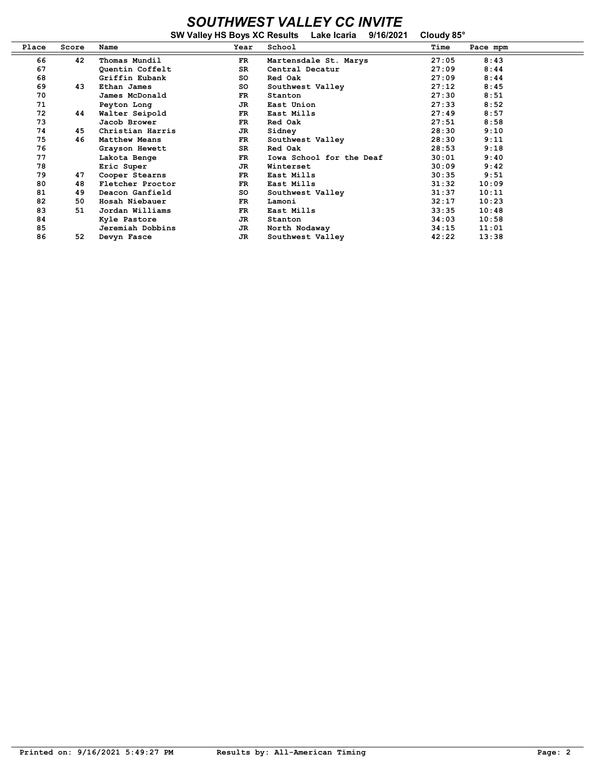## SOUTHWEST VALLEY CC INVITE

|       |       |                  |      | SW Valley HS Boys XC Results Lake Icaria | 9/16/2021 | Cloudy 85° |          |
|-------|-------|------------------|------|------------------------------------------|-----------|------------|----------|
| Place | Score | Name             | Year | School                                   |           | Time       | Pace mpm |
| 66    | 42    | Thomas Mundil    | FR   | Martensdale St. Marys                    |           | 27:05      | 8:43     |
| 67    |       | Quentin Coffelt  | SR.  | Central Decatur                          |           | 27:09      | 8:44     |
| 68    |       | Griffin Eubank   | so   | Red Oak                                  |           | 27:09      | 8:44     |
| 69    | 43    | Ethan James      | so   | Southwest Valley                         |           | 27:12      | 8:45     |
| 70    |       | James McDonald   | FR.  | Stanton                                  |           | 27:30      | 8:51     |
| 71    |       | Peyton Long      | JR.  | East Union                               |           | 27:33      | 8:52     |
| 72    | 44    | Walter Seipold   | FR.  | East Mills                               |           | 27:49      | 8:57     |
| 73    |       | Jacob Brower     | FR.  | Red Oak                                  |           | 27:51      | 8:58     |
| 74    | 45    | Christian Harris | JR   | Sidney                                   |           | 28:30      | 9:10     |
| 75    | 46    | Matthew Means    | FR.  | Southwest Valley                         |           | 28:30      | 9:11     |
| 76    |       | Grayson Hewett   | SR.  | Red Oak                                  |           | 28:53      | 9:18     |
| 77    |       | Lakota Benge     | FR.  | Iowa School for the Deaf                 |           | 30:01      | 9:40     |
| 78    |       | Eric Super       | JR.  | Winterset                                |           | 30:09      | 9:42     |
| 79    | 47    | Cooper Stearns   | FR   | East Mills                               |           | 30:35      | 9:51     |
| 80    | 48    | Fletcher Proctor | FR.  | East Mills                               |           | 31:32      | 10:09    |
| 81    | 49    | Deacon Ganfield  | so   | Southwest Valley                         |           | 31:37      | 10:11    |
| 82    | 50    | Hosah Niebauer   | FR.  | Lamoni                                   |           | 32:17      | 10:23    |
| 83    | 51    | Jordan Williams  | FR   | East Mills                               |           | 33:35      | 10:48    |
| 84    |       | Kyle Pastore     | JR.  | Stanton                                  |           | 34:03      | 10:58    |
| 85    |       | Jeremiah Dobbins | JR   | North Nodaway                            |           | 34:15      | 11:01    |
| 86    | 52    | Devyn Fasce      | JR.  | Southwest Valley                         |           | 42:22      | 13:38    |